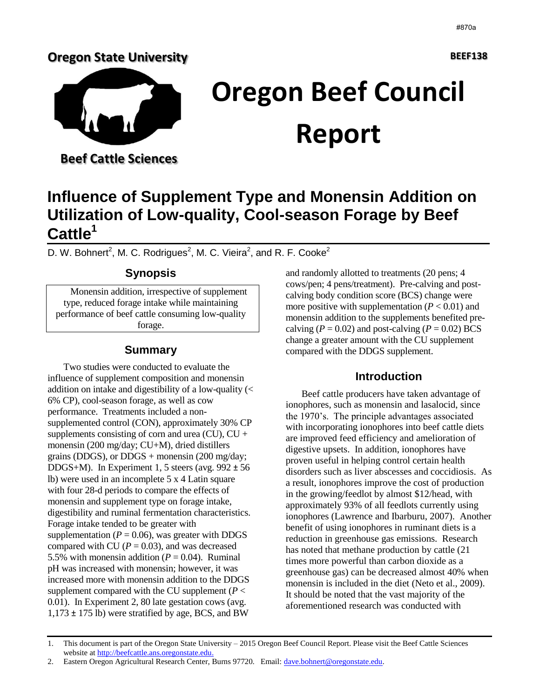## **Oregon State University**



# **Oregon Beef Council Report**

 **Beef Cattle Sciences** 

## **Influence of Supplement Type and Monensin Addition on Utilization of Low-quality, Cool-season Forage by Beef Cattle<sup>1</sup>**

D. W. Bohnert<sup>2</sup>, M. C. Rodrigues<sup>2</sup>, M. C. Vieira<sup>2</sup>, and R. F. Cooke<sup>2</sup>

## **Synopsis**

Monensin addition, irrespective of supplement type, reduced forage intake while maintaining performance of beef cattle consuming low-quality forage.

## **Summary**

Two studies were conducted to evaluate the influence of supplement composition and monensin addition on intake and digestibility of a low-quality (< 6% CP), cool-season forage, as well as cow performance. Treatments included a nonsupplemented control (CON), approximately 30% CP supplements consisting of corn and urea  $(CU)$ ,  $CU +$ monensin (200 mg/day; CU+M), dried distillers grains (DDGS), or DDGS + monensin  $(200 \text{ mg/day})$ ; DDGS+M). In Experiment 1, 5 steers (avg.  $992 \pm 56$ ) lb) were used in an incomplete 5 x 4 Latin square with four 28-d periods to compare the effects of monensin and supplement type on forage intake, digestibility and ruminal fermentation characteristics. Forage intake tended to be greater with supplementation ( $P = 0.06$ ), was greater with DDGS compared with CU ( $P = 0.03$ ), and was decreased 5.5% with monensin addition  $(P = 0.04)$ . Ruminal pH was increased with monensin; however, it was increased more with monensin addition to the DDGS supplement compared with the CU supplement ( $P <$ 0.01). In Experiment 2, 80 late gestation cows (avg.  $1,173 \pm 175$  lb) were stratified by age, BCS, and BW

and randomly allotted to treatments (20 pens; 4 cows/pen; 4 pens/treatment). Pre-calving and postcalving body condition score (BCS) change were more positive with supplementation  $(P < 0.01)$  and monensin addition to the supplements benefited precalving ( $P = 0.02$ ) and post-calving ( $P = 0.02$ ) BCS change a greater amount with the CU supplement compared with the DDGS supplement.

## **Introduction**

Beef cattle producers have taken advantage of ionophores, such as monensin and lasalocid, since the 1970's. The principle advantages associated with incorporating ionophores into beef cattle diets are improved feed efficiency and amelioration of digestive upsets. In addition, ionophores have proven useful in helping control certain health disorders such as liver abscesses and coccidiosis. As a result, ionophores improve the cost of production in the growing/feedlot by almost \$12/head, with approximately 93% of all feedlots currently using ionophores (Lawrence and Ibarburu, 2007). Another benefit of using ionophores in ruminant diets is a reduction in greenhouse gas emissions. Research has noted that methane production by cattle (21 times more powerful than carbon dioxide as a greenhouse gas) can be decreased almost 40% when monensin is included in the diet (Neto et al., 2009). It should be noted that the vast majority of the aforementioned research was conducted with

<sup>1.</sup> This document is part of the Oregon State University – 2015 Oregon Beef Council Report. Please visit the Beef Cattle Sciences website a[t http://beefcattle.ans.oregonstate.edu.](http://beefcattle.ans.oregonstate.edu/)

<sup>2.</sup> Eastern Oregon Agricultural Research Center, Burns 97720. Email: [dave.bohnert@oregonstate.edu.](mailto:dave.bohnert@oregonstate.edu)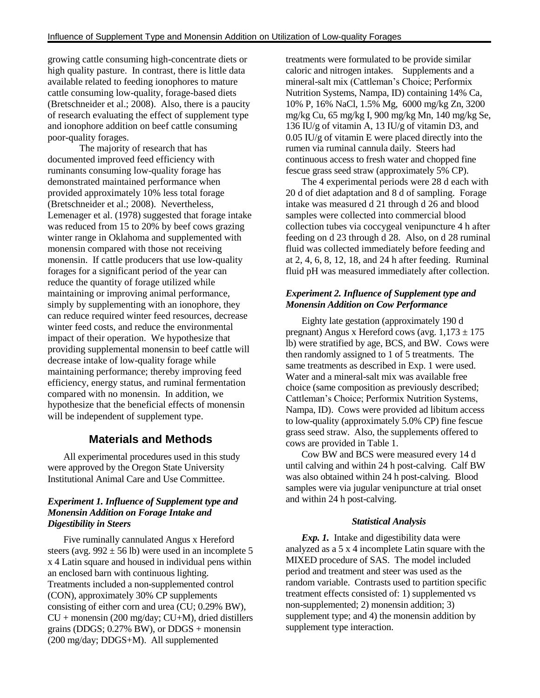growing cattle consuming high-concentrate diets or high quality pasture. In contrast, there is little data available related to feeding ionophores to mature cattle consuming low-quality, forage-based diets (Bretschneider et al.; 2008). Also, there is a paucity of research evaluating the effect of supplement type and ionophore addition on beef cattle consuming poor-quality forages.

The majority of research that has documented improved feed efficiency with ruminants consuming low-quality forage has demonstrated maintained performance when provided approximately 10% less total forage (Bretschneider et al.; 2008). Nevertheless, Lemenager et al. (1978) suggested that forage intake was reduced from 15 to 20% by beef cows grazing winter range in Oklahoma and supplemented with monensin compared with those not receiving monensin. If cattle producers that use low-quality forages for a significant period of the year can reduce the quantity of forage utilized while maintaining or improving animal performance, simply by supplementing with an ionophore, they can reduce required winter feed resources, decrease winter feed costs, and reduce the environmental impact of their operation. We hypothesize that providing supplemental monensin to beef cattle will decrease intake of low-quality forage while maintaining performance; thereby improving feed efficiency, energy status, and ruminal fermentation compared with no monensin. In addition, we hypothesize that the beneficial effects of monensin will be independent of supplement type.

## **Materials and Methods**

All experimental procedures used in this study were approved by the Oregon State University Institutional Animal Care and Use Committee.

#### *Experiment 1. Influence of Supplement type and Monensin Addition on Forage Intake and Digestibility in Steers*

Five ruminally cannulated Angus x Hereford steers (avg.  $992 \pm 56$  lb) were used in an incomplete 5 x 4 Latin square and housed in individual pens within an enclosed barn with continuous lighting. Treatments included a non-supplemented control (CON), approximately 30% CP supplements consisting of either corn and urea (CU; 0.29% BW),  $CU + monensin (200 mg/day; CU+M)$ , dried distillers grains (DDGS;  $0.27\%$  BW), or DDGS + monensin (200 mg/day; DDGS+M). All supplemented

treatments were formulated to be provide similar caloric and nitrogen intakes. Supplements and a mineral-salt mix (Cattleman's Choice; Performix Nutrition Systems, Nampa, ID) containing 14% Ca, 10% P, 16% NaCl, 1.5% Mg, 6000 mg/kg Zn, 3200 mg/kg Cu, 65 mg/kg I, 900 mg/kg Mn, 140 mg/kg Se, 136 IU/g of vitamin A, 13 IU/g of vitamin D3, and 0.05 IU/g of vitamin E were placed directly into the rumen via ruminal cannula daily. Steers had continuous access to fresh water and chopped fine fescue grass seed straw (approximately 5% CP).

The 4 experimental periods were 28 d each with 20 d of diet adaptation and 8 d of sampling. Forage intake was measured d 21 through d 26 and blood samples were collected into commercial blood collection tubes via coccygeal venipuncture 4 h after feeding on d 23 through d 28. Also, on d 28 ruminal fluid was collected immediately before feeding and at 2, 4, 6, 8, 12, 18, and 24 h after feeding. Ruminal fluid pH was measured immediately after collection.

#### *Experiment 2. Influence of Supplement type and Monensin Addition on Cow Performance*

Eighty late gestation (approximately 190 d pregnant) Angus x Hereford cows (avg.  $1,173 \pm 175$ lb) were stratified by age, BCS, and BW. Cows were then randomly assigned to 1 of 5 treatments. The same treatments as described in Exp. 1 were used. Water and a mineral-salt mix was available free choice (same composition as previously described; Cattleman's Choice; Performix Nutrition Systems, Nampa, ID). Cows were provided ad libitum access to low-quality (approximately 5.0% CP) fine fescue grass seed straw. Also, the supplements offered to cows are provided in Table 1.

Cow BW and BCS were measured every 14 d until calving and within 24 h post-calving. Calf BW was also obtained within 24 h post-calving. Blood samples were via jugular venipuncture at trial onset and within 24 h post-calving.

#### *Statistical Analysis*

*Exp. 1.* Intake and digestibility data were analyzed as a 5 x 4 incomplete Latin square with the MIXED procedure of SAS. The model included period and treatment and steer was used as the random variable. Contrasts used to partition specific treatment effects consisted of: 1) supplemented vs non-supplemented; 2) monensin addition; 3) supplement type; and 4) the monensin addition by supplement type interaction.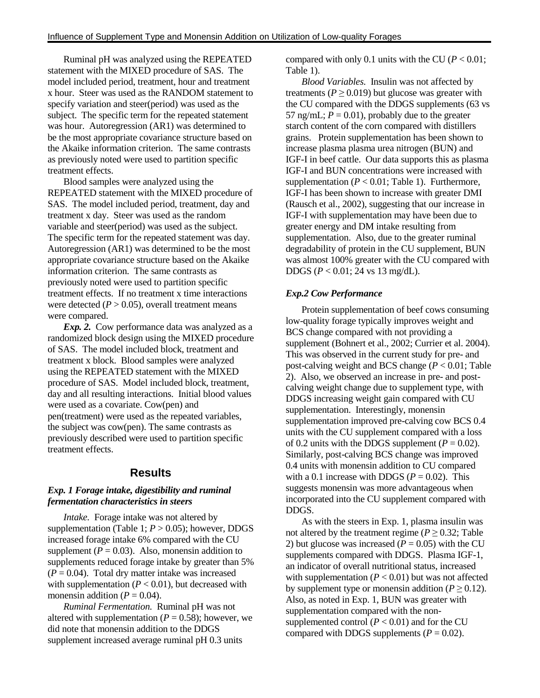Ruminal pH was analyzed using the REPEATED statement with the MIXED procedure of SAS. The model included period, treatment, hour and treatment x hour. Steer was used as the RANDOM statement to specify variation and steer(period) was used as the subject. The specific term for the repeated statement was hour. Autoregression (AR1) was determined to be the most appropriate covariance structure based on the Akaike information criterion. The same contrasts as previously noted were used to partition specific treatment effects.

Blood samples were analyzed using the REPEATED statement with the MIXED procedure of SAS. The model included period, treatment, day and treatment x day. Steer was used as the random variable and steer(period) was used as the subject. The specific term for the repeated statement was day. Autoregression (AR1) was determined to be the most appropriate covariance structure based on the Akaike information criterion. The same contrasts as previously noted were used to partition specific treatment effects. If no treatment x time interactions were detected  $(P > 0.05)$ , overall treatment means were compared.

*Exp. 2.* Cow performance data was analyzed as a randomized block design using the MIXED procedure of SAS. The model included block, treatment and treatment x block. Blood samples were analyzed using the REPEATED statement with the MIXED procedure of SAS. Model included block, treatment, day and all resulting interactions. Initial blood values were used as a covariate. Cow(pen) and pen(treatment) were used as the repeated variables, the subject was cow(pen). The same contrasts as previously described were used to partition specific treatment effects.

#### **Results**

#### *Exp. 1 Forage intake, digestibility and ruminal fermentation characteristics in steers*

*Intake.* Forage intake was not altered by supplementation (Table 1;  $P > 0.05$ ); however, DDGS increased forage intake 6% compared with the CU supplement ( $P = 0.03$ ). Also, monensin addition to supplements reduced forage intake by greater than 5%  $(P = 0.04)$ . Total dry matter intake was increased with supplementation  $(P < 0.01)$ , but decreased with monensin addition ( $P = 0.04$ ).

*Ruminal Fermentation.* Ruminal pH was not altered with supplementation ( $P = 0.58$ ); however, we did note that monensin addition to the DDGS supplement increased average ruminal pH 0.3 units

compared with only 0.1 units with the CU ( $P < 0.01$ ; Table 1).

*Blood Variables.* Insulin was not affected by treatments ( $P \ge 0.019$ ) but glucose was greater with the CU compared with the DDGS supplements (63 vs 57 ng/mL;  $P = 0.01$ ), probably due to the greater starch content of the corn compared with distillers grains. Protein supplementation has been shown to increase plasma plasma urea nitrogen (BUN) and IGF-I in beef cattle. Our data supports this as plasma IGF-I and BUN concentrations were increased with supplementation  $(P < 0.01$ ; Table 1). Furthermore, IGF-I has been shown to increase with greater DMI (Rausch et al., 2002), suggesting that our increase in IGF-I with supplementation may have been due to greater energy and DM intake resulting from supplementation. Also, due to the greater ruminal degradability of protein in the CU supplement, BUN was almost 100% greater with the CU compared with DDGS (*P* < 0.01; 24 vs 13 mg/dL).

#### *Exp.2 Cow Performance*

Protein supplementation of beef cows consuming low-quality forage typically improves weight and BCS change compared with not providing a supplement (Bohnert et al., 2002; Currier et al. 2004). This was observed in the current study for pre- and post-calving weight and BCS change (*P* < 0.01; Table 2). Also, we observed an increase in pre- and postcalving weight change due to supplement type, with DDGS increasing weight gain compared with CU supplementation. Interestingly, monensin supplementation improved pre-calving cow BCS 0.4 units with the CU supplement compared with a loss of 0.2 units with the DDGS supplement  $(P = 0.02)$ . Similarly, post-calving BCS change was improved 0.4 units with monensin addition to CU compared with a 0.1 increase with DDGS ( $P = 0.02$ ). This suggests monensin was more advantageous when incorporated into the CU supplement compared with DDGS.

As with the steers in Exp. 1, plasma insulin was not altered by the treatment regime ( $P \ge 0.32$ ; Table 2) but glucose was increased  $(P = 0.05)$  with the CU supplements compared with DDGS. Plasma IGF-1, an indicator of overall nutritional status, increased with supplementation  $(P < 0.01)$  but was not affected by supplement type or monensin addition ( $P \ge 0.12$ ). Also, as noted in Exp. 1, BUN was greater with supplementation compared with the nonsupplemented control  $(P < 0.01)$  and for the CU compared with DDGS supplements  $(P = 0.02)$ .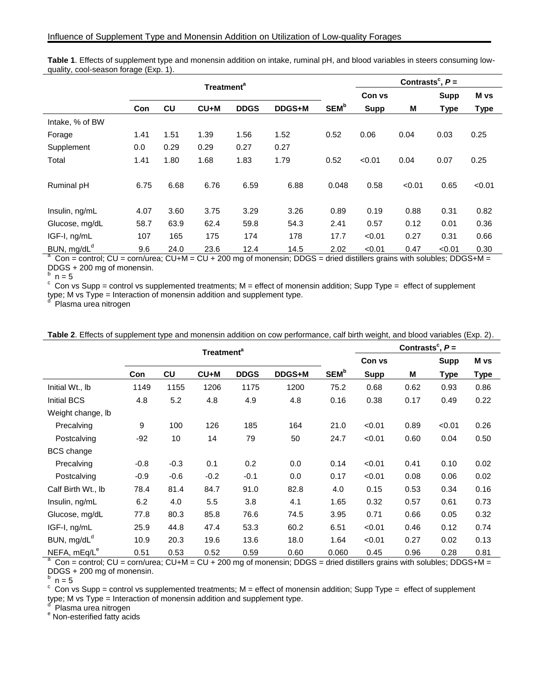| Table 1. Effects of supplement type and monensin addition on intake, ruminal pH, and blood variables in steers consuming low- |                            |
|-------------------------------------------------------------------------------------------------------------------------------|----------------------------|
| quality, cool-season forage (Exp. 1).                                                                                         |                            |
|                                                                                                                               | Contrasts $\degree$ , $P=$ |
| <b>Treatment</b> <sup>4</sup>                                                                                                 |                            |

|                          | Treatment <sup>a</sup> |      |        |             |        |                         | Contrasts,P= |        |       |             |
|--------------------------|------------------------|------|--------|-------------|--------|-------------------------|--------------|--------|-------|-------------|
|                          |                        |      |        |             |        |                         | Con vs       |        | Supp  | M vs        |
|                          | <b>Con</b>             | cu   | $CU+M$ | <b>DDGS</b> | DDGS+M | <b>SEM</b> <sup>b</sup> | <b>Supp</b>  | Μ      | Type  | <b>Type</b> |
| Intake, % of BW          |                        |      |        |             |        |                         |              |        |       |             |
| Forage                   | 1.41                   | 1.51 | 1.39   | 1.56        | 1.52   | 0.52                    | 0.06         | 0.04   | 0.03  | 0.25        |
| Supplement               | 0.0                    | 0.29 | 0.29   | 0.27        | 0.27   |                         |              |        |       |             |
| Total                    | 1.41                   | 1.80 | 1.68   | 1.83        | 1.79   | 0.52                    | < 0.01       | 0.04   | 0.07  | 0.25        |
| Ruminal pH               | 6.75                   | 6.68 | 6.76   | 6.59        | 6.88   | 0.048                   | 0.58         | < 0.01 | 0.65  | < 0.01      |
| Insulin, ng/mL           | 4.07                   | 3.60 | 3.75   | 3.29        | 3.26   | 0.89                    | 0.19         | 0.88   | 0.31  | 0.82        |
| Glucose, mg/dL           | 58.7                   | 63.9 | 62.4   | 59.8        | 54.3   | 2.41                    | 0.57         | 0.12   | 0.01  | 0.36        |
| IGF-I, ng/mL             | 107                    | 165  | 175    | 174         | 178    | 17.7                    | < 0.01       | 0.27   | 0.31  | 0.66        |
| $RIM$ ma/dl <sup>d</sup> | 96                     | 24 O | 23 R   | $12\Delta$  | 145    | 2.02                    | $-0.01$      | 0.47   | 01 م۔ | በ 30        |

BUN, mg/dL<sup>d</sup> 9.6 24.0 23.6 12.4 14.5 2.02 <0.01 0.47 <0.01 0.30 a Con = control; CU = corn/urea; CU+M = CU + 200 mg of monensin; DDGS = dried distillers grains with solubles; DDGS+M = DDGS + 200 mg of monensin.

 $^{\rm b}$  n = 5

 $\textdegree$  Con vs Supp = control vs supplemented treatments; M = effect of monensin addition; Supp Type = effect of supplement

type; M vs Type = Interaction of monensin addition and supplement type.<br><sup>d</sup> Plasma ures nitrogen

Plasma urea nitrogen

| Table 2. Effects of supplement type and monensin addition on cow performance, calf birth weight, and blood variables (Exp. 2). |  |  |
|--------------------------------------------------------------------------------------------------------------------------------|--|--|
|                                                                                                                                |  |  |

|                          | Treatment <sup>a</sup> |        |        |             |        |                         | Contrasts <sup>c</sup> , $P=$ |      |             |             |  |
|--------------------------|------------------------|--------|--------|-------------|--------|-------------------------|-------------------------------|------|-------------|-------------|--|
|                          |                        |        |        |             |        |                         | Con vs                        |      | <b>Supp</b> | M vs        |  |
|                          | Con                    | cu     | $CU+M$ | <b>DDGS</b> | DDGS+M | <b>SEM</b> <sup>b</sup> | <b>Supp</b>                   | M    | Type        | <b>Type</b> |  |
| Initial Wt., lb          | 1149                   | 1155   | 1206   | 1175        | 1200   | 75.2                    | 0.68                          | 0.62 | 0.93        | 0.86        |  |
| <b>Initial BCS</b>       | 4.8                    | 5.2    | 4.8    | 4.9         | 4.8    | 0.16                    | 0.38                          | 0.17 | 0.49        | 0.22        |  |
| Weight change, Ib        |                        |        |        |             |        |                         |                               |      |             |             |  |
| Precalving               | 9                      | 100    | 126    | 185         | 164    | 21.0                    | < 0.01                        | 0.89 | < 0.01      | 0.26        |  |
| Postcalving              | -92                    | 10     | 14     | 79          | 50     | 24.7                    | < 0.01                        | 0.60 | 0.04        | 0.50        |  |
| <b>BCS</b> change        |                        |        |        |             |        |                         |                               |      |             |             |  |
| Precalving               | $-0.8$                 | $-0.3$ | 0.1    | 0.2         | 0.0    | 0.14                    | < 0.01                        | 0.41 | 0.10        | 0.02        |  |
| Postcalving              | $-0.9$                 | $-0.6$ | $-0.2$ | $-0.1$      | 0.0    | 0.17                    | < 0.01                        | 0.08 | 0.06        | 0.02        |  |
| Calf Birth Wt., lb       | 78.4                   | 81.4   | 84.7   | 91.0        | 82.8   | 4.0                     | 0.15                          | 0.53 | 0.34        | 0.16        |  |
| Insulin, ng/mL           | 6.2                    | 4.0    | 5.5    | 3.8         | 4.1    | 1.65                    | 0.32                          | 0.57 | 0.61        | 0.73        |  |
| Glucose, mg/dL           | 77.8                   | 80.3   | 85.8   | 76.6        | 74.5   | 3.95                    | 0.71                          | 0.66 | 0.05        | 0.32        |  |
| IGF-I, ng/mL             | 25.9                   | 44.8   | 47.4   | 53.3        | 60.2   | 6.51                    | < 0.01                        | 0.46 | 0.12        | 0.74        |  |
| BUN, mg/dL <sup>d</sup>  | 10.9                   | 20.3   | 19.6   | 13.6        | 18.0   | 1.64                    | < 0.01                        | 0.27 | 0.02        | 0.13        |  |
| NEFA, mEq/L <sup>e</sup> | 0.51                   | 0.53   | 0.52   | 0.59        | 0.60   | 0.060                   | 0.45                          | 0.96 | 0.28        | 0.81        |  |

a Con = control; CU = corn/urea; CU+M = CU + 200 mg of monensin; DDGS = dried distillers grains with solubles; DDGS+M = DDGS + 200 mg of monensin.

 $^{\circ}$  n = 5

 $\textdegree$  Con vs Supp = control vs supplemented treatments; M = effect of monensin addition; Supp Type = effect of supplement type; M vs Type = Interaction of monensin addition and supplement type.<br><sup>d</sup> Plasma ures pitrogen

Plasma urea nitrogen

<sup>e</sup> Non-esterified fatty acids